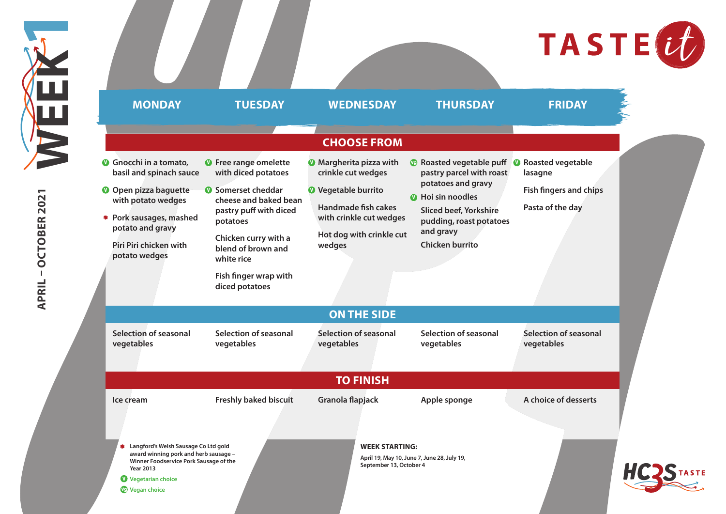

|                                                                                                                                                                                                   |                                                                                                                                                                                                                                               |                                                                                                                                                                                   |                                                                                                                                                                                                                                                 | <b>TASTE</b>                                                 |                  |
|---------------------------------------------------------------------------------------------------------------------------------------------------------------------------------------------------|-----------------------------------------------------------------------------------------------------------------------------------------------------------------------------------------------------------------------------------------------|-----------------------------------------------------------------------------------------------------------------------------------------------------------------------------------|-------------------------------------------------------------------------------------------------------------------------------------------------------------------------------------------------------------------------------------------------|--------------------------------------------------------------|------------------|
| <b>MONDAY</b>                                                                                                                                                                                     | <b>TUESDAY</b>                                                                                                                                                                                                                                | <b>WEDNESDAY</b>                                                                                                                                                                  | <b>THURSDAY</b>                                                                                                                                                                                                                                 | <b>FRIDAY</b>                                                |                  |
|                                                                                                                                                                                                   |                                                                                                                                                                                                                                               | <b>CHOOSE FROM</b>                                                                                                                                                                |                                                                                                                                                                                                                                                 |                                                              |                  |
| <b>G</b> Gnocchi in a tomato,<br>basil and spinach sauce<br>O Open pizza baguette<br>with potato wedges<br>* Pork sausages, mashed<br>potato and gravy<br>Piri Piri chicken with<br>potato wedges | <b>O</b> Free range omelette<br>with diced potatoes<br>Somerset cheddar<br>cheese and baked bean<br>pastry puff with diced<br>potatoes<br>Chicken curry with a<br>blend of brown and<br>white rice<br>Fish finger wrap with<br>diced potatoes | <b>O</b> Margherita pizza with<br>crinkle cut wedges<br><b>O</b> Vegetable burrito<br><b>Handmade fish cakes</b><br>with crinkle cut wedges<br>Hot dog with crinkle cut<br>wedges | <sup>1</sup> Roasted vegetable puff <b>1</b> Roasted vegetable<br>pastry parcel with roast<br>potatoes and gravy<br><b>O</b> Hoi sin noodles<br><b>Sliced beef, Yorkshire</b><br>pudding, roast potatoes<br>and gravy<br><b>Chicken burrito</b> | lasagne<br><b>Fish fingers and chips</b><br>Pasta of the day |                  |
|                                                                                                                                                                                                   |                                                                                                                                                                                                                                               | <b>ON THE SIDE</b>                                                                                                                                                                |                                                                                                                                                                                                                                                 |                                                              |                  |
| <b>Selection of seasonal</b><br>vegetables                                                                                                                                                        | <b>Selection of seasonal</b><br>vegetables                                                                                                                                                                                                    | Selection of seasonal<br>vegetables                                                                                                                                               | <b>Selection of seasonal</b><br>vegetables                                                                                                                                                                                                      | Selection of seasonal<br>vegetables                          |                  |
|                                                                                                                                                                                                   |                                                                                                                                                                                                                                               | <b>TO FINISH</b>                                                                                                                                                                  |                                                                                                                                                                                                                                                 |                                                              |                  |
| Ice cream                                                                                                                                                                                         | <b>Freshly baked biscuit</b>                                                                                                                                                                                                                  | Granola flapjack                                                                                                                                                                  | Apple sponge                                                                                                                                                                                                                                    | A choice of desserts                                         |                  |
| * Langford's Welsh Sausage Co Ltd gold<br>award winning pork and herb sausage -<br>Winner Foodservice Pork Sausage of the<br><b>Year 2013</b><br>Vegetarian choice<br>Vegan choice                |                                                                                                                                                                                                                                               | <b>WEEK STARTING:</b><br>September 13, October 4                                                                                                                                  | April 19, May 10, June 7, June 28, July 19,                                                                                                                                                                                                     |                                                              | <b>HCZSTASTE</b> |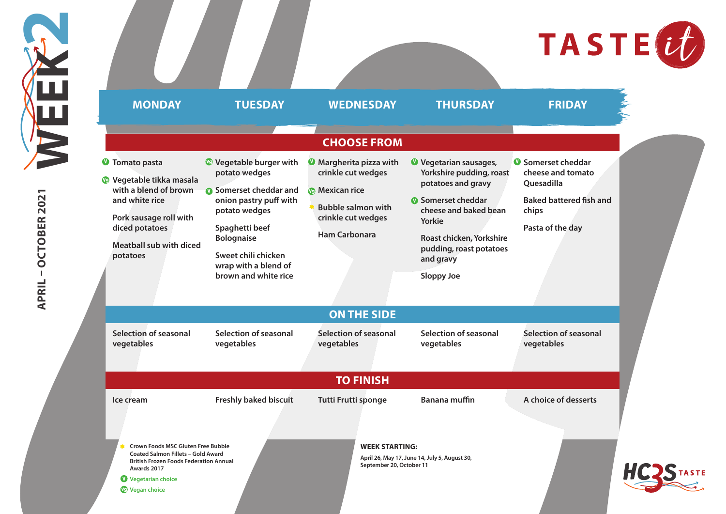

|                                                                                                                                                                                                   |                                                                                                                                                                                                                                               |                                                                                                                                                          |                                                                                                                                                                                                                                              | <b>TASTEU</b>                                                                                                               |
|---------------------------------------------------------------------------------------------------------------------------------------------------------------------------------------------------|-----------------------------------------------------------------------------------------------------------------------------------------------------------------------------------------------------------------------------------------------|----------------------------------------------------------------------------------------------------------------------------------------------------------|----------------------------------------------------------------------------------------------------------------------------------------------------------------------------------------------------------------------------------------------|-----------------------------------------------------------------------------------------------------------------------------|
| <b>MONDAY</b>                                                                                                                                                                                     | <b>TUESDAY</b>                                                                                                                                                                                                                                | <b>WEDNESDAY</b>                                                                                                                                         | <b>THURSDAY</b>                                                                                                                                                                                                                              | <b>FRIDAY</b>                                                                                                               |
|                                                                                                                                                                                                   |                                                                                                                                                                                                                                               | <b>CHOOSE FROM</b>                                                                                                                                       |                                                                                                                                                                                                                                              |                                                                                                                             |
| <b>O</b> Tomato pasta<br><sup>c</sup> Vegetable tikka masala<br>with a blend of brown<br>and white rice<br>Pork sausage roll with<br>diced potatoes<br><b>Meatball sub with diced</b><br>potatoes | <sup>©</sup> Vegetable burger with<br>potato wedges<br><b>O</b> Somerset cheddar and<br>onion pastry puff with<br>potato wedges<br>Spaghetti beef<br><b>Bolognaise</b><br>Sweet chili chicken<br>wrap with a blend of<br>brown and white rice | <b>O</b> Margherita pizza with<br>crinkle cut wedges<br><b>C</b> Mexican rice<br><b>Bubble salmon with</b><br>crinkle cut wedges<br><b>Ham Carbonara</b> | <sup>0</sup> Vegetarian sausages,<br>Yorkshire pudding, roast<br>potatoes and gravy<br><b>O</b> Somerset cheddar<br>cheese and baked bean<br>Yorkie<br>Roast chicken, Yorkshire<br>pudding, roast potatoes<br>and gravy<br><b>Sloppy Joe</b> | <b>O</b> Somerset cheddar<br>cheese and tomato<br>Quesadilla<br><b>Baked battered fish and</b><br>chips<br>Pasta of the day |
|                                                                                                                                                                                                   |                                                                                                                                                                                                                                               | <b>ON THE SIDE</b>                                                                                                                                       |                                                                                                                                                                                                                                              |                                                                                                                             |
| <b>Selection of seasonal</b><br>vegetables                                                                                                                                                        | <b>Selection of seasonal</b><br>vegetables                                                                                                                                                                                                    | Selection of seasonal<br>vegetables                                                                                                                      | <b>Selection of seasonal</b><br>vegetables                                                                                                                                                                                                   | Selection of seasonal<br>vegetables                                                                                         |
|                                                                                                                                                                                                   |                                                                                                                                                                                                                                               | <b>TO FINISH</b>                                                                                                                                         |                                                                                                                                                                                                                                              |                                                                                                                             |
| Ice cream                                                                                                                                                                                         | <b>Freshly baked biscuit</b>                                                                                                                                                                                                                  | <b>Tutti Frutti sponge</b>                                                                                                                               | <b>Banana muffin</b>                                                                                                                                                                                                                         | A choice of desserts                                                                                                        |
| <b>Crown Foods MSC Gluten Free Bubble</b><br>Coated Salmon Fillets - Gold Award<br><b>British Frozen Foods Federation Annual</b><br>Awards 2017<br>Vegetarian choice<br>Vegan choice              |                                                                                                                                                                                                                                               | <b>WEEK STARTING:</b><br>September 20, October 11                                                                                                        | April 26, May 17, June 14, July 5, August 30,                                                                                                                                                                                                |                                                                                                                             |